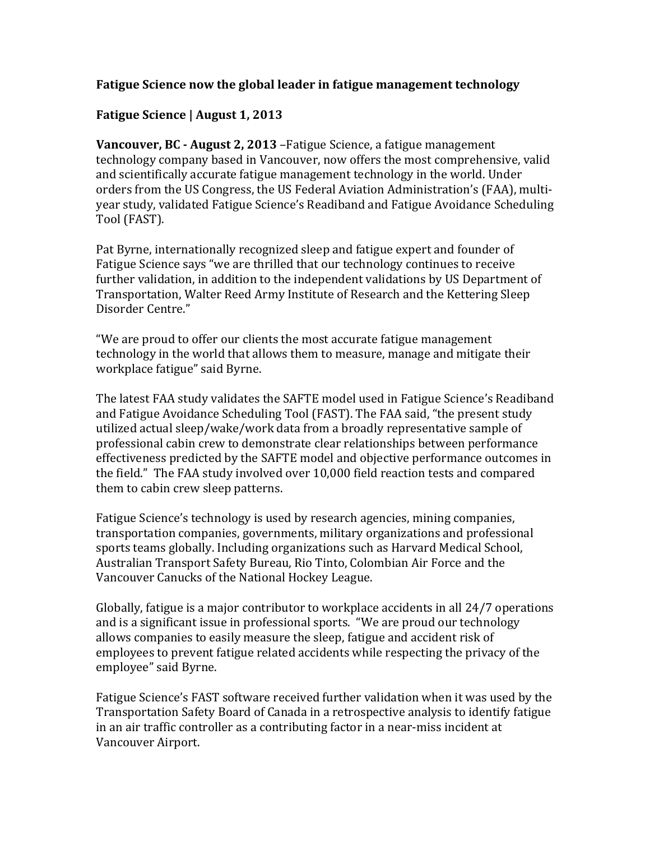## **Fatigue Science now the global leader in fatigue management technology**

# **Fatigue Science | August 1, 2013**

**Vancouver, BC - August 2, 2013** – Fatigue Science, a fatigue management technology company based in Vancouver, now offers the most comprehensive, valid and scientifically accurate fatigue management technology in the world. Under orders from the US Congress, the US Federal Aviation Administration's (FAA), multiyear study, validated Fatigue Science's Readiband and Fatigue Avoidance Scheduling Tool (FAST).

Pat Byrne, internationally recognized sleep and fatigue expert and founder of Fatigue Science says "we are thrilled that our technology continues to receive further validation, in addition to the independent validations by US Department of Transportation, Walter Reed Army Institute of Research and the Kettering Sleep Disorder Centre."

"We are proud to offer our clients the most accurate fatigue management technology in the world that allows them to measure, manage and mitigate their workplace fatigue" said Byrne.

The latest FAA study validates the SAFTE model used in Fatigue Science's Readiband and Fatigue Avoidance Scheduling Tool (FAST). The FAA said, "the present study utilized actual sleep/wake/work data from a broadly representative sample of professional cabin crew to demonstrate clear relationships between performance effectiveness predicted by the SAFTE model and objective performance outcomes in the field." The FAA study involved over 10,000 field reaction tests and compared them to cabin crew sleep patterns.

Fatigue Science's technology is used by research agencies, mining companies, transportation companies, governments, military organizations and professional sports teams globally. Including organizations such as Harvard Medical School, Australian Transport Safety Bureau, Rio Tinto, Colombian Air Force and the Vancouver Canucks of the National Hockey League.

Globally, fatigue is a major contributor to workplace accidents in all 24/7 operations and is a significant issue in professional sports. "We are proud our technology allows companies to easily measure the sleep, fatigue and accident risk of employees to prevent fatigue related accidents while respecting the privacy of the employee" said Byrne.

Fatigue Science's FAST software received further validation when it was used by the Transportation Safety Board of Canada in a retrospective analysis to identify fatigue in an air traffic controller as a contributing factor in a near-miss incident at Vancouver Airport.